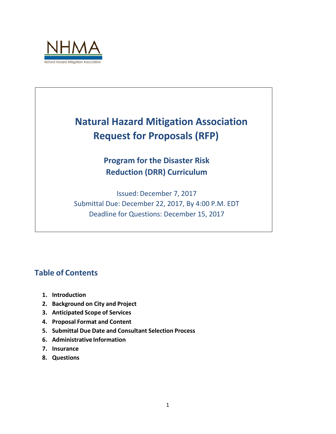

# **Natural Hazard Mitigation Association Request for Proposals (RFP)**

## **Program for the Disaster Risk Reduction (DRR) Curriculum**

Issued: December 7, 2017 Submittal Due: December 22, 2017, By 4:00 P.M. EDT Deadline for Questions: December 15, 2017

## **Table of Contents**

- **1. Introduction**
- **2. Background on City and Project**
- **3. Anticipated Scope of Services**
- **4. Proposal Format and Content**
- **5. Submittal Due Date and Consultant Selection Process**
- **6. Administrative Information**
- **7. Insurance**
- **8. Questions**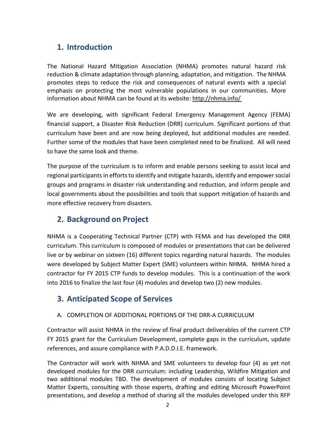## **1. Introduction**

The National Hazard Mitigation Association (NHMA) promotes natural hazard risk reduction & climate adaptation through planning, adaptation, and mitigation. The NHMA promotes steps to reduce the risk and consequences of natural events with a special emphasis on protecting the most vulnerable populations in our communities. More information about NHMA can be found at its website: http://nhma.info/

We are developing, with significant Federal Emergency Management Agency (FEMA) financial support, a Disaster Risk Reduction (DRR) curriculum. Significant portions of that curriculum have been and are now being deployed, but additional modules are needed. Further some of the modules that have been completed need to be finalized. All will need to have the same look and theme.

The purpose of the curriculum is to inform and enable persons seeking to assist local and regional participants in efforts to identify and mitigate hazards, identify and empower social groups and programs in disaster risk understanding and reduction, and inform people and local governments about the possibilities and tools that support mitigation of hazards and more effective recovery from disasters.

## **2. Background on Project**

NHMA is a Cooperating Technical Partner (CTP) with FEMA and has developed the DRR curriculum. This curriculum is composed of modules or presentations that can be delivered live or by webinar on sixteen (16) different topics regarding natural hazards. The modules were developed by Subject Matter Expert (SME) volunteers within NHMA. NHMA hired a contractor for FY 2015 CTP funds to develop modules. This is a continuation of the work into 2016 to finalize the last four (4) modules and develop two (2) new modules.

## **3. Anticipated Scope of Services**

#### A. COMPLETION OF ADDITIONAL PORTIONS OF THE DRR-A CURRICULUM

Contractor will assist NHMA in the review of final product deliverables of the current CTP FY 2015 grant for the Curriculum Development, complete gaps in the curriculum, update references, and assure compliance with P.A.D.D.I.E. framework.

The Contractor will work with NHMA and SME volunteers to develop four (4) as yet not developed modules for the DRR curriculum: including Leadership, Wildfire Mitigation and two additional modules TBD. The development of modules consists of locating Subject Matter Experts, consulting with those experts, drafting and editing Microsoft PowerPoint presentations, and develop a method of sharing all the modules developed under this RFP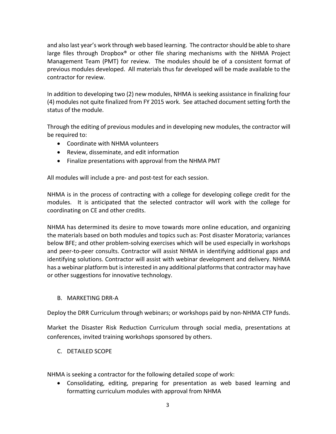and also last year's work through web based learning. The contractor should be able to share large files through Dropbox<sup>®</sup> or other file sharing mechanisms with the NHMA Project Management Team (PMT) for review. The modules should be of a consistent format of previous modules developed. All materials thus far developed will be made available to the contractor for review.

In addition to developing two (2) new modules, NHMA is seeking assistance in finalizing four (4) modules not quite finalized from FY 2015 work. See attached document setting forth the status of the module.

Through the editing of previous modules and in developing new modules, the contractor will be required to:

- Coordinate with NHMA volunteers
- Review, disseminate, and edit information
- Finalize presentations with approval from the NHMA PMT

All modules will include a pre- and post-test for each session.

NHMA is in the process of contracting with a college for developing college credit for the modules. It is anticipated that the selected contractor will work with the college for coordinating on CE and other credits.

NHMA has determined its desire to move towards more online education, and organizing the materials based on both modules and topics such as: Post disaster Moratoria; variances below BFE; and other problem-solving exercises which will be used especially in workshops and peer-to-peer consults. Contractor will assist NHMA in identifying additional gaps and identifying solutions. Contractor will assist with webinar development and delivery. NHMA has a webinar platform but is interested in any additional platforms that contractor may have or other suggestions for innovative technology.

B. MARKETING DRR-A

Deploy the DRR Curriculum through webinars; or workshops paid by non-NHMA CTP funds.

Market the Disaster Risk Reduction Curriculum through social media, presentations at conferences, invited training workshops sponsored by others.

C. DETAILED SCOPE

NHMA is seeking a contractor for the following detailed scope of work:

• Consolidating, editing, preparing for presentation as web based learning and formatting curriculum modules with approval from NHMA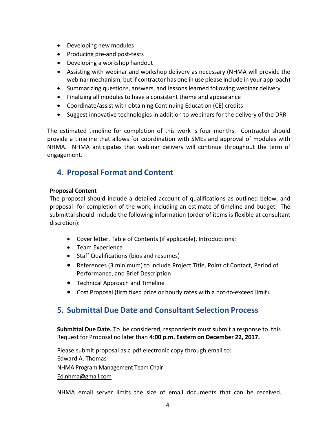- Developing new modules
- Producing pre-and post-tests
- Developing a workshop handout
- Assisting with webinar and workshop delivery as necessary (NHMA will provide the webinar mechanism, but if contractor has one in use please include in your approach)
- Summarizing questions, answers, and lessons learned following webinar delivery
- Finalizing all modules to have a consistent theme and appearance
- Coordinate/assist with obtaining Continuing Education (CE) credits
- Suggest innovative technologies in addition to webinars for the delivery of the DRR

The estimated timeline for completion of this work is four months. Contractor should provide a timeline that allows for coordination with SMEs and approval of modules with NHMA. NHMA anticipates that webinar delivery will continue throughout the term of engagement.

### **4. Proposal Format and Content**

#### **Proposal Content**

The proposal should include a detailed account of qualifications as outlined below, and proposal for completion of the work, including an estimate of timeline and budget. The submittal should include the following information (order of items is flexible at consultant discretion):

- Cover letter, Table of Contents (if applicable), Introductions;
- Team Experience
- Staff Qualifications (bios and resumes)
- References (3 minimum) to include Project Title, Point of Contact, Period of Performance, and Brief Description
- Technical Approach and Timeline
- Cost Proposal (firm fixed price or hourly rates with a not-to-exceed limit).

### **5. Submittal Due Date and Consultant Selection Process**

**Submittal Due Date.** To be considered, respondents must submit a response to this Request for Proposal no later than **4:00 p.m. Eastern on December 22, 2017.**

Please submit proposal as a pdf electronic copy through email to: Edward A. Thomas NHMA Program Management Team Chair Ed.nhma@gmail.com

NHMA email server limits the size of email documents that can be received.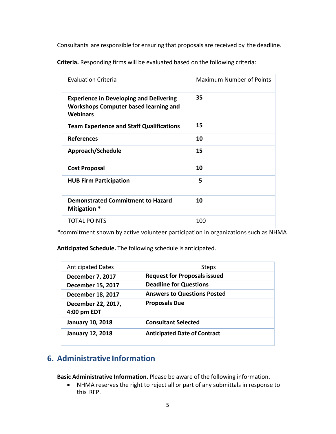Consultants are responsible for ensuring that proposals are received by the deadline.

**Criteria.** Responding firms will be evaluated based on the following criteria:

| <b>Evaluation Criteria</b>                                                                                        | <b>Maximum Number of Points</b> |
|-------------------------------------------------------------------------------------------------------------------|---------------------------------|
| <b>Experience in Developing and Delivering</b><br><b>Workshops Computer based learning and</b><br><b>Webinars</b> | 35                              |
| <b>Team Experience and Staff Qualifications</b>                                                                   | 15                              |
| <b>References</b>                                                                                                 | 10                              |
| Approach/Schedule                                                                                                 | 15                              |
| <b>Cost Proposal</b>                                                                                              | 10                              |
| <b>HUB Firm Participation</b>                                                                                     | 5                               |
| <b>Demonstrated Commitment to Hazard</b><br>Mitigation *                                                          | 10                              |
| <b>TOTAL POINTS</b>                                                                                               | 100                             |

\*commitment shown by active volunteer participation in organizations such as NHMA

**Anticipated Schedule.** The following schedule is anticipated.

| <b>Anticipated Dates</b>          | <b>Steps</b>                        |
|-----------------------------------|-------------------------------------|
| <b>December 7, 2017</b>           | <b>Request for Proposals issued</b> |
| December 15, 2017                 | <b>Deadline for Questions</b>       |
| December 18, 2017                 | <b>Answers to Questions Posted</b>  |
| December 22, 2017,<br>4:00 pm EDT | <b>Proposals Due</b>                |
| <b>January 10, 2018</b>           | <b>Consultant Selected</b>          |
| <b>January 12, 2018</b>           | <b>Anticipated Date of Contract</b> |

## **6.** Administrative Information

**Basic Administrative Information.** Please be aware of the following information.

• NHMA reserves the right to reject all or part of any submittals in response to this RFP.